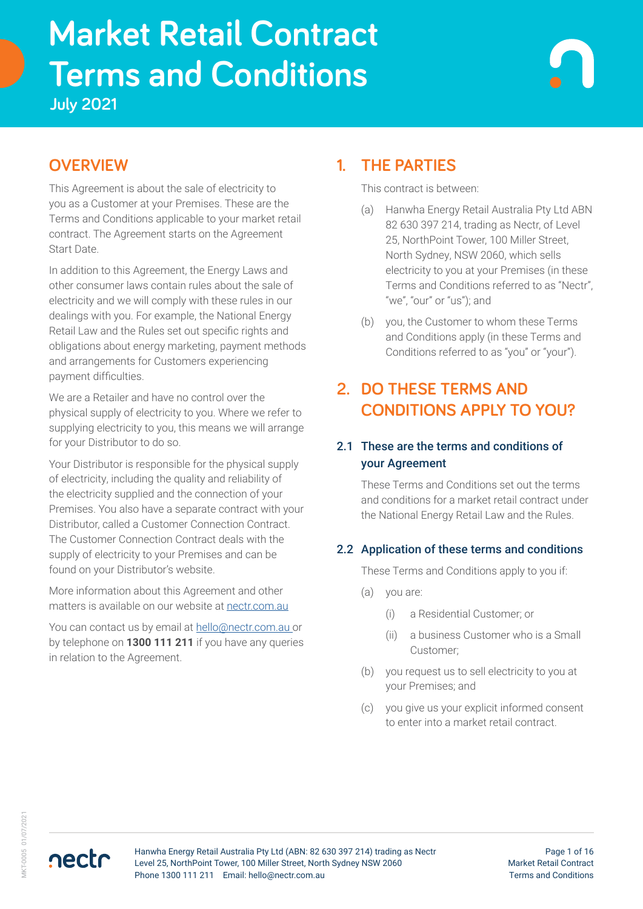# **Terms and Conditions Market Retail Contract**

**July 2021**

# **OVERVIEW**

This Agreement is about the sale of electricity to you as a Customer at your Premises. These are the Terms and Conditions applicable to your market retail contract. The Agreement starts on the Agreement Start Date.

In addition to this Agreement, the Energy Laws and other consumer laws contain rules about the sale of electricity and we will comply with these rules in our dealings with you. For example, the National Energy Retail Law and the Rules set out specific rights and obligations about energy marketing, payment methods and arrangements for Customers experiencing payment difficulties.

We are a Retailer and have no control over the physical supply of electricity to you. Where we refer to supplying electricity to you, this means we will arrange for your Distributor to do so.

Your Distributor is responsible for the physical supply of electricity, including the quality and reliability of the electricity supplied and the connection of your Premises. You also have a separate contract with your Distributor, called a Customer Connection Contract. The Customer Connection Contract deals with the supply of electricity to your Premises and can be found on your Distributor's website.

More information about this Agreement and other matters is available on our website at [nectr.com.au](https://nectr.com.au/)

You can contact us by email at [hello@nectr.com.au o](mailto:hello%40nectr.com.au%20?subject=)r by telephone on **1300 111 211** if you have any queries in relation to the Agreement.

# **1. THE PARTIES**

This contract is between:

- (a) Hanwha Energy Retail Australia Pty Ltd ABN 82 630 397 214, trading as Nectr, of Level 25, NorthPoint Tower, 100 Miller Street, North Sydney, NSW 2060, which sells electricity to you at your Premises (in these Terms and Conditions referred to as "Nectr", "we", "our" or "us"); and
- (b) you, the Customer to whom these Terms and Conditions apply (in these Terms and Conditions referred to as "you" or "your").

# **2. DO THESE TERMS AND CONDITIONS APPLY TO YOU?**

#### 2.1 These are the terms and conditions of your Agreement

These Terms and Conditions set out the terms and conditions for a market retail contract under the National Energy Retail Law and the Rules.

#### 2.2 Application of these terms and conditions

These Terms and Conditions apply to you if:

- (a) you are:
	- (i) a Residential Customer; or
	- (ii) a business Customer who is a Small Customer;
- (b) you request us to sell electricity to you at your Premises; and
- (c) you give us your explicit informed consent to enter into a market retail contract.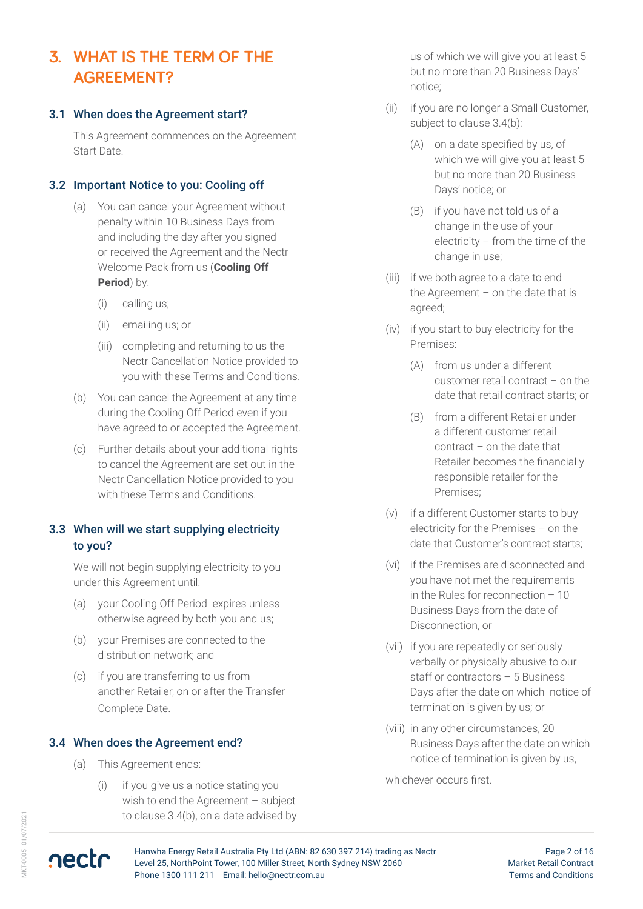# **3. WHAT IS THE TERM OF THE AGREEMENT?**

#### 3.1 When does the Agreement start?

This Agreement commences on the Agreement Start Date.

#### 3.2 Important Notice to you: Cooling off

- (a) You can cancel your Agreement without penalty within 10 Business Days from and including the day after you signed or received the Agreement and the Nectr Welcome Pack from us (**Cooling Off Period**) by:
	- (i) calling us;
	- (ii) emailing us; or
	- (iii) completing and returning to us the Nectr Cancellation Notice provided to you with these Terms and Conditions.
- (b) You can cancel the Agreement at any time during the Cooling Off Period even if you have agreed to or accepted the Agreement.
- (c) Further details about your additional rights to cancel the Agreement are set out in the Nectr Cancellation Notice provided to you with these Terms and Conditions.

#### 3.3 When will we start supplying electricity to you?

We will not begin supplying electricity to you under this Agreement until:

- (a) your Cooling Off Period expires unless otherwise agreed by both you and us;
- (b) your Premises are connected to the distribution network; and
- (c) if you are transferring to us from another Retailer, on or after the Transfer Complete Date.

#### 3.4 When does the Agreement end?

- (a) This Agreement ends:
	- (i) if you give us a notice stating you wish to end the Agreement – subject to clause 3.4(b), on a date advised by

us of which we will give you at least 5 but no more than 20 Business Days' notice;

- (ii) if you are no longer a Small Customer, subject to clause 3.4(b):
	- (A) on a date specified by us, of which we will give you at least 5 but no more than 20 Business Days' notice; or
	- (B) if you have not told us of a change in the use of your electricity – from the time of the change in use;
- (iii) if we both agree to a date to end the Agreement – on the date that is agreed;
- (iv) if you start to buy electricity for the Premises:
	- (A) from us under a different customer retail contract – on the date that retail contract starts; or
	- (B) from a different Retailer under a different customer retail contract – on the date that Retailer becomes the financially responsible retailer for the Premises;
- (v) if a different Customer starts to buy electricity for the Premises – on the date that Customer's contract starts;
- (vi) if the Premises are disconnected and you have not met the requirements in the Rules for reconnection – 10 Business Days from the date of Disconnection, or
- (vii) if you are repeatedly or seriously verbally or physically abusive to our staff or contractors – 5 Business Days after the date on which notice of termination is given by us; or
- (viii) in any other circumstances, 20 Business Days after the date on which notice of termination is given by us,

whichever occurs first.

**AKT-0005 01/07/2021** MKT-0005 01/07/2021



Page 2 of 16 Market Retail Contract Terms and Conditions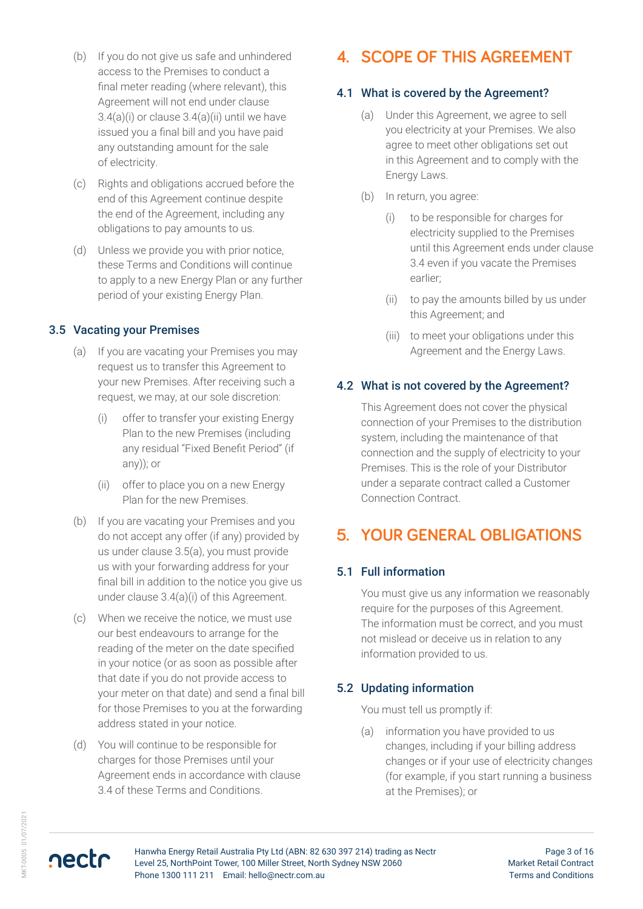- (b) If you do not give us safe and unhindered access to the Premises to conduct a final meter reading (where relevant), this Agreement will not end under clause  $3.4(a)(i)$  or clause  $3.4(a)(ii)$  until we have issued you a final bill and you have paid any outstanding amount for the sale of electricity.
- (c) Rights and obligations accrued before the end of this Agreement continue despite the end of the Agreement, including any obligations to pay amounts to us.
- (d) Unless we provide you with prior notice, these Terms and Conditions will continue to apply to a new Energy Plan or any further period of your existing Energy Plan.

#### 3.5 Vacating your Premises

- (a) If you are vacating your Premises you may request us to transfer this Agreement to your new Premises. After receiving such a request, we may, at our sole discretion:
	- (i) offer to transfer your existing Energy Plan to the new Premises (including any residual "Fixed Benefit Period" (if any)); or
	- (ii) offer to place you on a new Energy Plan for the new Premises.
- (b) If you are vacating your Premises and you do not accept any offer (if any) provided by us under clause 3.5(a), you must provide us with your forwarding address for your final bill in addition to the notice you give us under clause 3.4(a)(i) of this Agreement.
- (c) When we receive the notice, we must use our best endeavours to arrange for the reading of the meter on the date specified in your notice (or as soon as possible after that date if you do not provide access to your meter on that date) and send a final bill for those Premises to you at the forwarding address stated in your notice.
- (d) You will continue to be responsible for charges for those Premises until your Agreement ends in accordance with clause 3.4 of these Terms and Conditions.

# **4. SCOPE OF THIS AGREEMENT**

### 4.1 What is covered by the Agreement?

- (a) Under this Agreement, we agree to sell you electricity at your Premises. We also agree to meet other obligations set out in this Agreement and to comply with the Energy Laws.
- (b) In return, you agree:
	- (i) to be responsible for charges for electricity supplied to the Premises until this Agreement ends under clause 3.4 even if you vacate the Premises earlier;
	- (ii) to pay the amounts billed by us under this Agreement; and
	- (iii) to meet your obligations under this Agreement and the Energy Laws.

#### 4.2 What is not covered by the Agreement?

This Agreement does not cover the physical connection of your Premises to the distribution system, including the maintenance of that connection and the supply of electricity to your Premises. This is the role of your Distributor under a separate contract called a Customer Connection Contract.

# **5. YOUR GENERAL OBLIGATIONS**

#### 5.1 Full information

You must give us any information we reasonably require for the purposes of this Agreement. The information must be correct, and you must not mislead or deceive us in relation to any information provided to us.

#### 5.2 Updating information

You must tell us promptly if:

(a) information you have provided to us changes, including if your billing address changes or if your use of electricity changes (for example, if you start running a business at the Premises); or

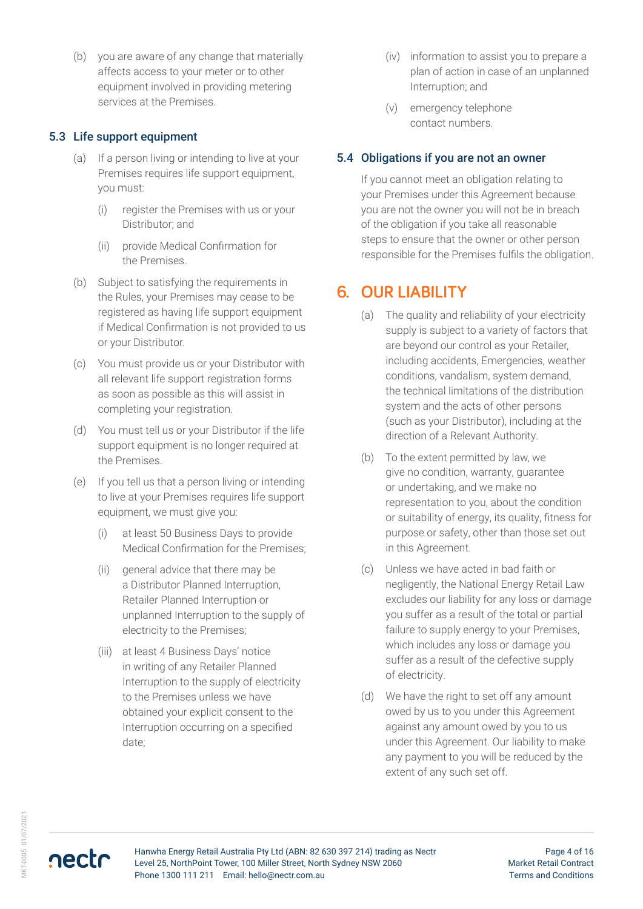(b) you are aware of any change that materially affects access to your meter or to other equipment involved in providing metering services at the Premises.

#### 5.3 Life support equipment

- (a) If a person living or intending to live at your Premises requires life support equipment, you must:
	- (i) register the Premises with us or your Distributor; and
	- (ii) provide Medical Confirmation for the Premises.
- (b) Subject to satisfying the requirements in the Rules, your Premises may cease to be registered as having life support equipment if Medical Confirmation is not provided to us or your Distributor.
- (c) You must provide us or your Distributor with all relevant life support registration forms as soon as possible as this will assist in completing your registration.
- (d) You must tell us or your Distributor if the life support equipment is no longer required at the Premises.
- (e) If you tell us that a person living or intending to live at your Premises requires life support equipment, we must give you:
	- (i) at least 50 Business Days to provide Medical Confirmation for the Premises;
	- (ii) general advice that there may be a Distributor Planned Interruption, Retailer Planned Interruption or unplanned Interruption to the supply of electricity to the Premises;
	- (iii) at least 4 Business Days' notice in writing of any Retailer Planned Interruption to the supply of electricity to the Premises unless we have obtained your explicit consent to the Interruption occurring on a specified date;
- (iv) information to assist you to prepare a plan of action in case of an unplanned Interruption; and
- (v) emergency telephone contact numbers.

#### 5.4 Obligations if you are not an owner

If you cannot meet an obligation relating to your Premises under this Agreement because you are not the owner you will not be in breach of the obligation if you take all reasonable steps to ensure that the owner or other person responsible for the Premises fulfils the obligation.

# **6. OUR LIABILITY**

- (a) The quality and reliability of your electricity supply is subject to a variety of factors that are beyond our control as your Retailer, including accidents, Emergencies, weather conditions, vandalism, system demand, the technical limitations of the distribution system and the acts of other persons (such as your Distributor), including at the direction of a Relevant Authority.
- (b) To the extent permitted by law, we give no condition, warranty, guarantee or undertaking, and we make no representation to you, about the condition or suitability of energy, its quality, fitness for purpose or safety, other than those set out in this Agreement.
- (c) Unless we have acted in bad faith or negligently, the National Energy Retail Law excludes our liability for any loss or damage you suffer as a result of the total or partial failure to supply energy to your Premises, which includes any loss or damage you suffer as a result of the defective supply of electricity.
- (d) We have the right to set off any amount owed by us to you under this Agreement against any amount owed by you to us under this Agreement. Our liability to make any payment to you will be reduced by the extent of any such set off.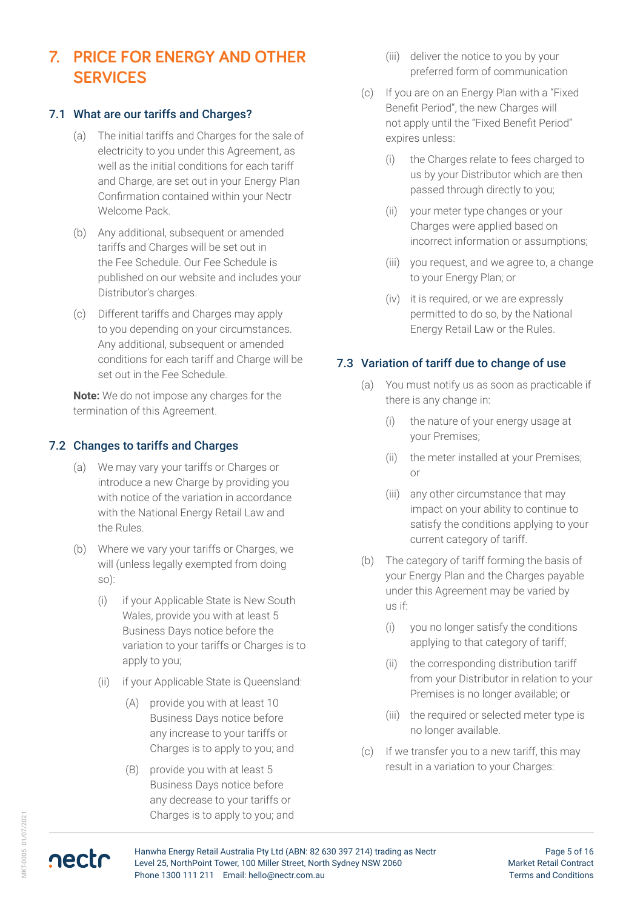# **7. PRICE FOR ENERGY AND OTHER SERVICES**

#### 7.1 What are our tariffs and Charges?

- (a) The initial tariffs and Charges for the sale of electricity to you under this Agreement, as well as the initial conditions for each tariff and Charge, are set out in your Energy Plan Confirmation contained within your Nectr Welcome Pack.
- (b) Any additional, subsequent or amended tariffs and Charges will be set out in the Fee Schedule. Our Fee Schedule is published on our website and includes your Distributor's charges.
- (c) Different tariffs and Charges may apply to you depending on your circumstances. Any additional, subsequent or amended conditions for each tariff and Charge will be set out in the Fee Schedule.

**Note:** We do not impose any charges for the termination of this Agreement.

#### 7.2 Changes to tariffs and Charges

- (a) We may vary your tariffs or Charges or introduce a new Charge by providing you with notice of the variation in accordance with the National Energy Retail Law and the Rules.
- (b) Where we vary your tariffs or Charges, we will (unless legally exempted from doing so):
	- (i) if your Applicable State is New South Wales, provide you with at least 5 Business Days notice before the variation to your tariffs or Charges is to apply to you;
	- (ii) if your Applicable State is Queensland:
		- (A) provide you with at least 10 Business Days notice before any increase to your tariffs or Charges is to apply to you; and
		- (B) provide you with at least 5 Business Days notice before any decrease to your tariffs or Charges is to apply to you; and
- (iii) deliver the notice to you by your preferred form of communication
- (c) If you are on an Energy Plan with a "Fixed Benefit Period", the new Charges will not apply until the "Fixed Benefit Period" expires unless:
	- (i) the Charges relate to fees charged to us by your Distributor which are then passed through directly to you;
	- (ii) your meter type changes or your Charges were applied based on incorrect information or assumptions;
	- (iii) you request, and we agree to, a change to your Energy Plan; or
	- (iv) it is required, or we are expressly permitted to do so, by the National Energy Retail Law or the Rules.

#### 7.3 Variation of tariff due to change of use

- (a) You must notify us as soon as practicable if there is any change in:
	- (i) the nature of your energy usage at your Premises;
	- (ii) the meter installed at your Premises; or
	- (iii) any other circumstance that may impact on your ability to continue to satisfy the conditions applying to your current category of tariff.
- (b) The category of tariff forming the basis of your Energy Plan and the Charges payable under this Agreement may be varied by us if:
	- (i) you no longer satisfy the conditions applying to that category of tariff;
	- (ii) the corresponding distribution tariff from your Distributor in relation to your Premises is no longer available; or
	- (iii) the required or selected meter type is no longer available.
- (c) If we transfer you to a new tariff, this may result in a variation to your Charges: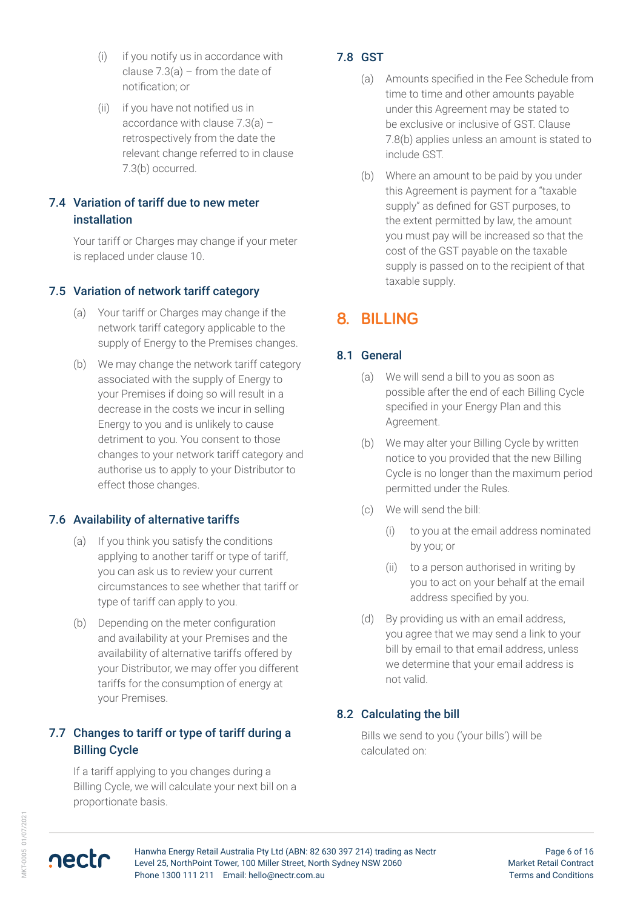- (i) if you notify us in accordance with clause  $7.3(a)$  – from the date of notification; or
- (ii) if you have not notified us in accordance with clause 7.3(a) – retrospectively from the date the relevant change referred to in clause 7.3(b) occurred.

#### 7.4 Variation of tariff due to new meter installation

Your tariff or Charges may change if your meter is replaced under clause 10.

#### 7.5 Variation of network tariff category

- (a) Your tariff or Charges may change if the network tariff category applicable to the supply of Energy to the Premises changes.
- (b) We may change the network tariff category associated with the supply of Energy to your Premises if doing so will result in a decrease in the costs we incur in selling Energy to you and is unlikely to cause detriment to you. You consent to those changes to your network tariff category and authorise us to apply to your Distributor to effect those changes.

#### 7.6 Availability of alternative tariffs

- (a) If you think you satisfy the conditions applying to another tariff or type of tariff, you can ask us to review your current circumstances to see whether that tariff or type of tariff can apply to you.
- (b) Depending on the meter configuration and availability at your Premises and the availability of alternative tariffs offered by your Distributor, we may offer you different tariffs for the consumption of energy at your Premises.

#### 7.7 Changes to tariff or type of tariff during a Billing Cycle

If a tariff applying to you changes during a Billing Cycle, we will calculate your next bill on a proportionate basis.

#### 7.8 GST

- (a) Amounts specified in the Fee Schedule from time to time and other amounts payable under this Agreement may be stated to be exclusive or inclusive of GST. Clause 7.8(b) applies unless an amount is stated to include GST.
- (b) Where an amount to be paid by you under this Agreement is payment for a "taxable supply" as defined for GST purposes, to the extent permitted by law, the amount you must pay will be increased so that the cost of the GST payable on the taxable supply is passed on to the recipient of that taxable supply.

# **8. BILLING**

#### 8.1 General

- (a) We will send a bill to you as soon as possible after the end of each Billing Cycle specified in your Energy Plan and this Agreement.
- (b) We may alter your Billing Cycle by written notice to you provided that the new Billing Cycle is no longer than the maximum period permitted under the Rules.
- (c) We will send the bill:
	- (i) to you at the email address nominated by you; or
	- (ii) to a person authorised in writing by you to act on your behalf at the email address specified by you.
- (d) By providing us with an email address, you agree that we may send a link to your bill by email to that email address, unless we determine that your email address is not valid.

#### 8.2 Calculating the bill

Bills we send to you ('your bills') will be calculated on:



Hanwha Energy Retail Australia Pty Ltd (ABN: 82 630 397 214) trading as Nectr Level 25, NorthPoint Tower, 100 Miller Street, North Sydney NSW 2060 Phone 1300 111 211 Email: hello@nectr.com.au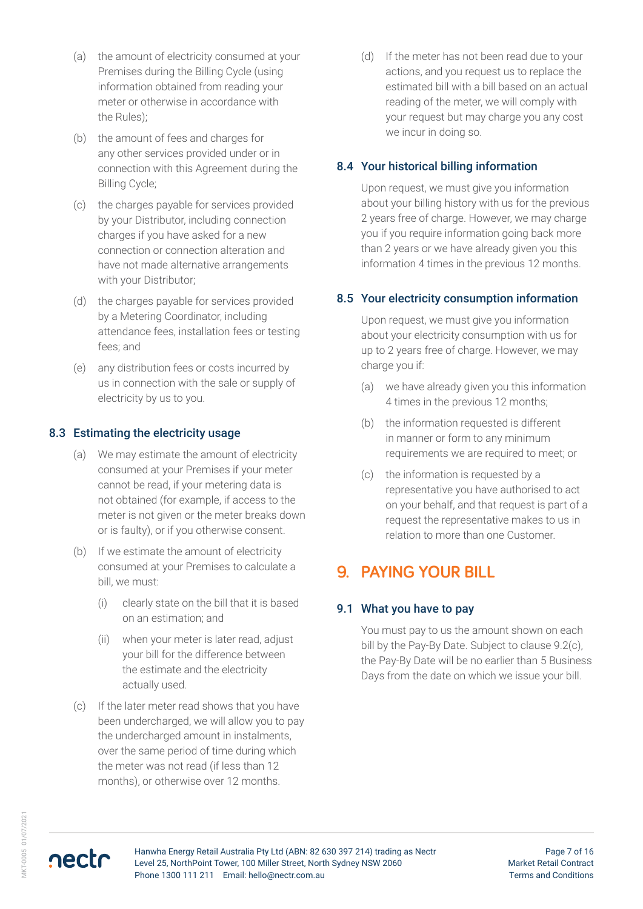- (a) the amount of electricity consumed at your Premises during the Billing Cycle (using information obtained from reading your meter or otherwise in accordance with the Rules);
- (b) the amount of fees and charges for any other services provided under or in connection with this Agreement during the Billing Cycle;
- (c) the charges payable for services provided by your Distributor, including connection charges if you have asked for a new connection or connection alteration and have not made alternative arrangements with your Distributor;
- (d) the charges payable for services provided by a Metering Coordinator, including attendance fees, installation fees or testing fees; and
- (e) any distribution fees or costs incurred by us in connection with the sale or supply of electricity by us to you.

#### 8.3 Estimating the electricity usage

- (a) We may estimate the amount of electricity consumed at your Premises if your meter cannot be read, if your metering data is not obtained (for example, if access to the meter is not given or the meter breaks down or is faulty), or if you otherwise consent.
- (b) If we estimate the amount of electricity consumed at your Premises to calculate a bill, we must:
	- (i) clearly state on the bill that it is based on an estimation; and
	- (ii) when your meter is later read, adjust your bill for the difference between the estimate and the electricity actually used.
- (c) If the later meter read shows that you have been undercharged, we will allow you to pay the undercharged amount in instalments, over the same period of time during which the meter was not read (if less than 12 months), or otherwise over 12 months.

(d) If the meter has not been read due to your actions, and you request us to replace the estimated bill with a bill based on an actual reading of the meter, we will comply with your request but may charge you any cost we incur in doing so.

#### 8.4 Your historical billing information

Upon request, we must give you information about your billing history with us for the previous 2 years free of charge. However, we may charge you if you require information going back more than 2 years or we have already given you this information 4 times in the previous 12 months.

#### 8.5 Your electricity consumption information

Upon request, we must give you information about your electricity consumption with us for up to 2 years free of charge. However, we may charge you if:

- (a) we have already given you this information 4 times in the previous 12 months;
- (b) the information requested is different in manner or form to any minimum requirements we are required to meet; or
- (c) the information is requested by a representative you have authorised to act on your behalf, and that request is part of a request the representative makes to us in relation to more than one Customer.

### **9. PAYING YOUR BILL**

#### 9.1 What you have to pay

You must pay to us the amount shown on each bill by the Pay-By Date. Subject to clause 9.2(c), the Pay-By Date will be no earlier than 5 Business Days from the date on which we issue your bill.

Page 7 of 16 Market Retail Contract Terms and Conditions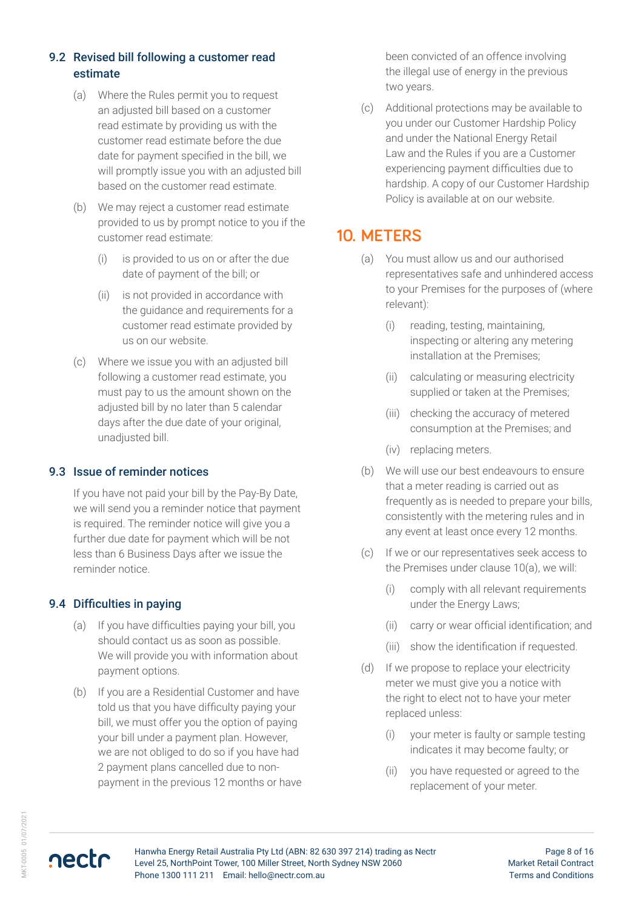#### 9.2 Revised bill following a customer read estimate

- (a) Where the Rules permit you to request an adjusted bill based on a customer read estimate by providing us with the customer read estimate before the due date for payment specified in the bill, we will promptly issue you with an adjusted bill based on the customer read estimate.
- (b) We may reject a customer read estimate provided to us by prompt notice to you if the customer read estimate:
	- (i) is provided to us on or after the due date of payment of the bill; or
	- (ii) is not provided in accordance with the guidance and requirements for a customer read estimate provided by us on our website.
- (c) Where we issue you with an adjusted bill following a customer read estimate, you must pay to us the amount shown on the adjusted bill by no later than 5 calendar days after the due date of your original, unadjusted bill.

#### 9.3 Issue of reminder notices

If you have not paid your bill by the Pay-By Date, we will send you a reminder notice that payment is required. The reminder notice will give you a further due date for payment which will be not less than 6 Business Days after we issue the reminder notice.

#### 9.4 Difficulties in paying

- (a) If you have difficulties paying your bill, you should contact us as soon as possible. We will provide you with information about payment options.
- (b) If you are a Residential Customer and have told us that you have difficulty paying your bill, we must offer you the option of paying your bill under a payment plan. However, we are not obliged to do so if you have had 2 payment plans cancelled due to nonpayment in the previous 12 months or have

been convicted of an offence involving the illegal use of energy in the previous two years.

(c) Additional protections may be available to you under our Customer Hardship Policy and under the National Energy Retail Law and the Rules if you are a Customer experiencing payment difficulties due to hardship. A copy of our Customer Hardship Policy is available at on our website.

### **10. METERS**

- (a) You must allow us and our authorised representatives safe and unhindered access to your Premises for the purposes of (where relevant):
	- (i) reading, testing, maintaining, inspecting or altering any metering installation at the Premises;
	- (ii) calculating or measuring electricity supplied or taken at the Premises;
	- (iii) checking the accuracy of metered consumption at the Premises; and
	- (iv) replacing meters.
- (b) We will use our best endeavours to ensure that a meter reading is carried out as frequently as is needed to prepare your bills, consistently with the metering rules and in any event at least once every 12 months.
- (c) If we or our representatives seek access to the Premises under clause 10(a), we will:
	- (i) comply with all relevant requirements under the Energy Laws;
	- (ii) carry or wear official identification; and
	- (iii) show the identification if requested.
- (d) If we propose to replace your electricity meter we must give you a notice with the right to elect not to have your meter replaced unless:
	- (i) your meter is faulty or sample testing indicates it may become faulty; or
	- (ii) you have requested or agreed to the replacement of your meter.

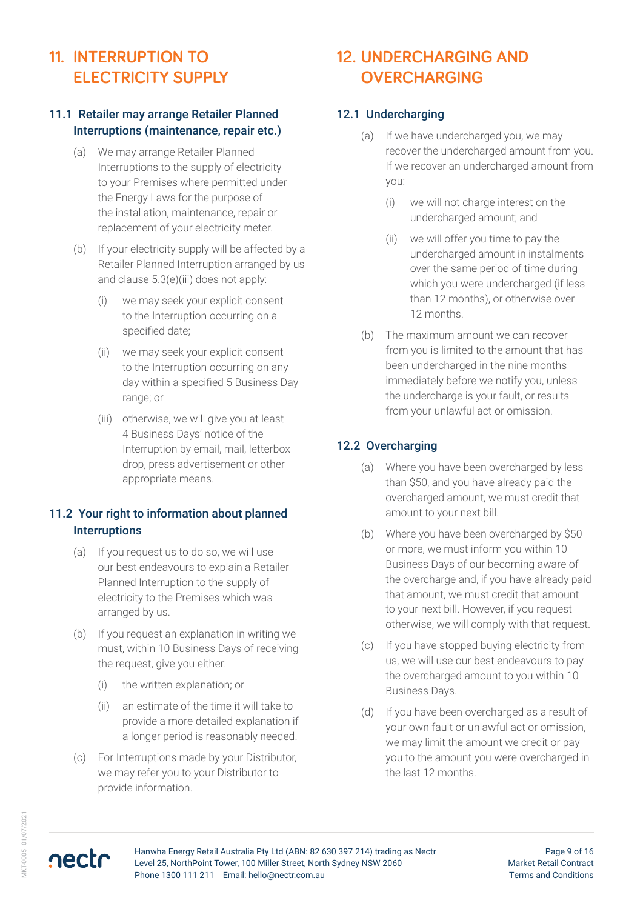# **11. INTERRUPTION TO ELECTRICITY SUPPLY**

#### 11.1 Retailer may arrange Retailer Planned Interruptions (maintenance, repair etc.)

- (a) We may arrange Retailer Planned Interruptions to the supply of electricity to your Premises where permitted under the Energy Laws for the purpose of the installation, maintenance, repair or replacement of your electricity meter.
- (b) If your electricity supply will be affected by a Retailer Planned Interruption arranged by us and clause 5.3(e)(iii) does not apply:
	- (i) we may seek your explicit consent to the Interruption occurring on a specified date;
	- (ii) we may seek your explicit consent to the Interruption occurring on any day within a specified 5 Business Day range; or
	- (iii) otherwise, we will give you at least 4 Business Days' notice of the Interruption by email, mail, letterbox drop, press advertisement or other appropriate means.

#### 11.2 Your right to information about planned **Interruptions**

- (a) If you request us to do so, we will use our best endeavours to explain a Retailer Planned Interruption to the supply of electricity to the Premises which was arranged by us.
- (b) If you request an explanation in writing we must, within 10 Business Days of receiving the request, give you either:
	- (i) the written explanation; or
	- (ii) an estimate of the time it will take to provide a more detailed explanation if a longer period is reasonably needed.
- (c) For Interruptions made by your Distributor, we may refer you to your Distributor to provide information.

# **12. UNDERCHARGING AND OVERCHARGING**

#### 12.1 Undercharging

- (a) If we have undercharged you, we may recover the undercharged amount from you. If we recover an undercharged amount from you:
	- (i) we will not charge interest on the undercharged amount; and
	- (ii) we will offer you time to pay the undercharged amount in instalments over the same period of time during which you were undercharged (if less than 12 months), or otherwise over 12 months.
- (b) The maximum amount we can recover from you is limited to the amount that has been undercharged in the nine months immediately before we notify you, unless the undercharge is your fault, or results from your unlawful act or omission.

#### 12.2 Overcharging

- (a) Where you have been overcharged by less than \$50, and you have already paid the overcharged amount, we must credit that amount to your next bill.
- (b) Where you have been overcharged by \$50 or more, we must inform you within 10 Business Days of our becoming aware of the overcharge and, if you have already paid that amount, we must credit that amount to your next bill. However, if you request otherwise, we will comply with that request.
- (c) If you have stopped buying electricity from us, we will use our best endeavours to pay the overcharged amount to you within 10 Business Days.
- (d) If you have been overcharged as a result of your own fault or unlawful act or omission, we may limit the amount we credit or pay you to the amount you were overcharged in the last 12 months.

nectr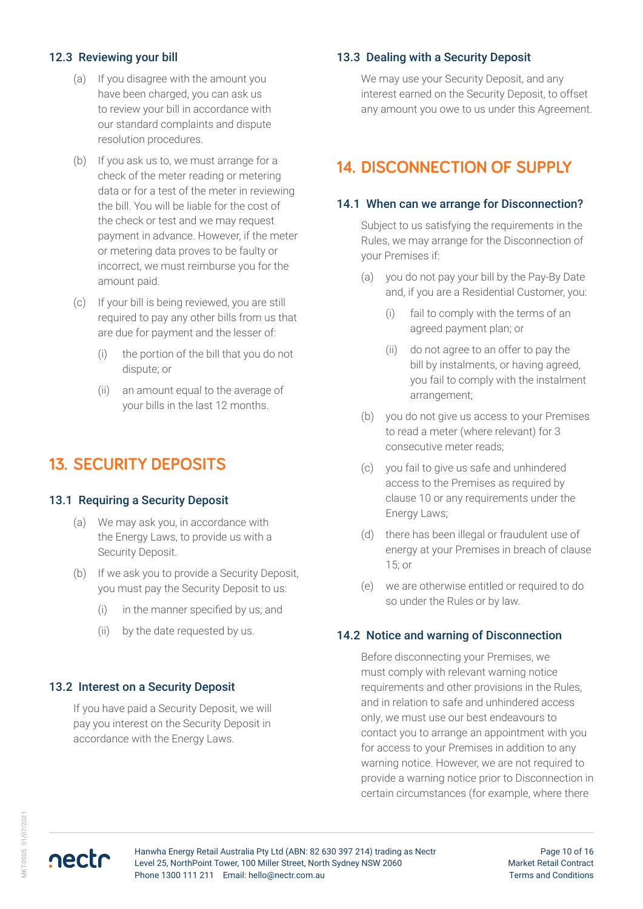#### 12.3 Reviewing your bill

- (a) If you disagree with the amount you have been charged, you can ask us to review your bill in accordance with our standard complaints and dispute resolution procedures.
- (b) If you ask us to, we must arrange for a check of the meter reading or metering data or for a test of the meter in reviewing the bill. You will be liable for the cost of the check or test and we may request payment in advance. However, if the meter or metering data proves to be faulty or incorrect, we must reimburse you for the amount paid.
- (c) If your bill is being reviewed, you are still required to pay any other bills from us that are due for payment and the lesser of:
	- (i) the portion of the bill that you do not dispute; or
	- (ii) an amount equal to the average of your bills in the last 12 months.

### **13. SECURITY DEPOSITS**

#### 13.1 Requiring a Security Deposit

- (a) We may ask you, in accordance with the Energy Laws, to provide us with a Security Deposit.
- (b) If we ask you to provide a Security Deposit, you must pay the Security Deposit to us:
	- (i) in the manner specified by us; and
	- (ii) by the date requested by us.

#### 13.2 Interest on a Security Deposit

If you have paid a Security Deposit, we will pay you interest on the Security Deposit in accordance with the Energy Laws.

#### 13.3 Dealing with a Security Deposit

We may use your Security Deposit, and any interest earned on the Security Deposit, to offset any amount you owe to us under this Agreement.

### **14. DISCONNECTION OF SUPPLY**

#### 14.1 When can we arrange for Disconnection?

Subject to us satisfying the requirements in the Rules, we may arrange for the Disconnection of your Premises if:

- (a) you do not pay your bill by the Pay-By Date and, if you are a Residential Customer, you:
	- (i) fail to comply with the terms of an agreed payment plan; or
	- (ii) do not agree to an offer to pay the bill by instalments, or having agreed, you fail to comply with the instalment arrangement;
- (b) you do not give us access to your Premises to read a meter (where relevant) for 3 consecutive meter reads;
- (c) you fail to give us safe and unhindered access to the Premises as required by clause 10 or any requirements under the Energy Laws;
- (d) there has been illegal or fraudulent use of energy at your Premises in breach of clause 15; or
- (e) we are otherwise entitled or required to do so under the Rules or by law.

#### 14.2 Notice and warning of Disconnection

Before disconnecting your Premises, we must comply with relevant warning notice requirements and other provisions in the Rules, and in relation to safe and unhindered access only, we must use our best endeavours to contact you to arrange an appointment with you for access to your Premises in addition to any warning notice. However, we are not required to provide a warning notice prior to Disconnection in certain circumstances (for example, where there

nectr

Hanwha Energy Retail Australia Pty Ltd (ABN: 82 630 397 214) trading as Nectr Level 25, NorthPoint Tower, 100 Miller Street, North Sydney NSW 2060 Phone 1300 111 211 Email: hello@nectr.com.au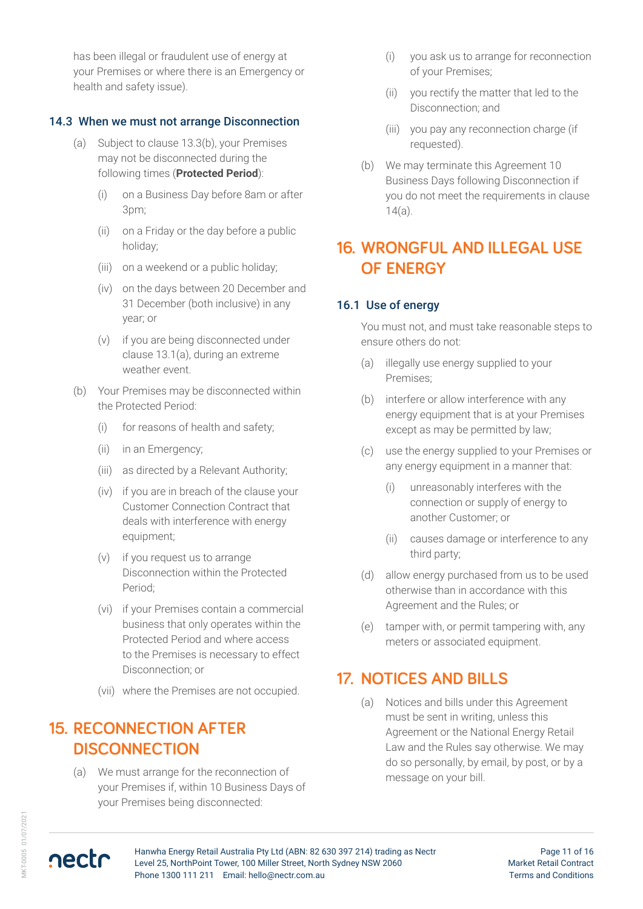has been illegal or fraudulent use of energy at your Premises or where there is an Emergency or health and safety issue).

#### 14.3 When we must not arrange Disconnection

- (a) Subject to clause 13.3(b), your Premises may not be disconnected during the following times (**Protected Period**):
	- (i) on a Business Day before 8am or after 3pm;
	- (ii) on a Friday or the day before a public holiday;
	- (iii) on a weekend or a public holiday;
	- (iv) on the days between 20 December and 31 December (both inclusive) in any year; or
	- (v) if you are being disconnected under clause 13.1(a), during an extreme weather event.
- (b) Your Premises may be disconnected within the Protected Period:
	- (i) for reasons of health and safety;
	- (ii) in an Emergency;
	- (iii) as directed by a Relevant Authority;
	- (iv) if you are in breach of the clause your Customer Connection Contract that deals with interference with energy equipment;
	- (v) if you request us to arrange Disconnection within the Protected Period;
	- (vi) if your Premises contain a commercial business that only operates within the Protected Period and where access to the Premises is necessary to effect Disconnection; or
	- (vii) where the Premises are not occupied.

### **15. RECONNECTION AFTER DISCONNECTION**

(a) We must arrange for the reconnection of your Premises if, within 10 Business Days of your Premises being disconnected:

- (i) you ask us to arrange for reconnection of your Premises;
- (ii) you rectify the matter that led to the Disconnection; and
- (iii) you pay any reconnection charge (if requested).
- (b) We may terminate this Agreement 10 Business Days following Disconnection if you do not meet the requirements in clause 14(a).

### **16. WRONGFUL AND ILLEGAL USE OF ENERGY**

#### 16.1 Use of energy

You must not, and must take reasonable steps to ensure others do not:

- (a) illegally use energy supplied to your Premises;
- (b) interfere or allow interference with any energy equipment that is at your Premises except as may be permitted by law;
- (c) use the energy supplied to your Premises or any energy equipment in a manner that:
	- (i) unreasonably interferes with the connection or supply of energy to another Customer; or
	- (ii) causes damage or interference to any third party;
- (d) allow energy purchased from us to be used otherwise than in accordance with this Agreement and the Rules; or
- (e) tamper with, or permit tampering with, any meters or associated equipment.

### **17. NOTICES AND BILLS**

(a) Notices and bills under this Agreement must be sent in writing, unless this Agreement or the National Energy Retail Law and the Rules say otherwise. We may do so personally, by email, by post, or by a message on your bill.

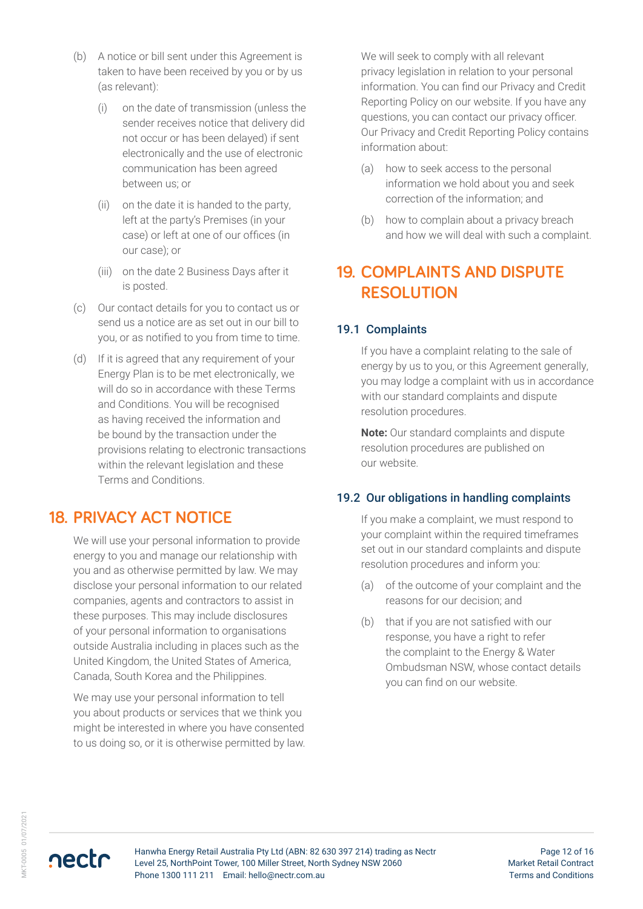- (b) A notice or bill sent under this Agreement is taken to have been received by you or by us (as relevant):
	- (i) on the date of transmission (unless the sender receives notice that delivery did not occur or has been delayed) if sent electronically and the use of electronic communication has been agreed between us; or
	- (ii) on the date it is handed to the party, left at the party's Premises (in your case) or left at one of our offices (in our case); or
	- (iii) on the date 2 Business Days after it is posted.
- (c) Our contact details for you to contact us or send us a notice are as set out in our bill to you, or as notified to you from time to time.
- (d) If it is agreed that any requirement of your Energy Plan is to be met electronically, we will do so in accordance with these Terms and Conditions. You will be recognised as having received the information and be bound by the transaction under the provisions relating to electronic transactions within the relevant legislation and these Terms and Conditions.

### **18. PRIVACY ACT NOTICE**

We will use your personal information to provide energy to you and manage our relationship with you and as otherwise permitted by law. We may disclose your personal information to our related companies, agents and contractors to assist in these purposes. This may include disclosures of your personal information to organisations outside Australia including in places such as the United Kingdom, the United States of America, Canada, South Korea and the Philippines.

We may use your personal information to tell you about products or services that we think you might be interested in where you have consented to us doing so, or it is otherwise permitted by law. We will seek to comply with all relevant privacy legislation in relation to your personal information. You can find our Privacy and Credit Reporting Policy on our website. If you have any questions, you can contact our privacy officer. Our Privacy and Credit Reporting Policy contains information about:

- (a) how to seek access to the personal information we hold about you and seek correction of the information; and
- (b) how to complain about a privacy breach and how we will deal with such a complaint.

# **19. COMPLAINTS AND DISPUTE RESOLUTION**

#### 19.1 Complaints

If you have a complaint relating to the sale of energy by us to you, or this Agreement generally, you may lodge a complaint with us in accordance with our standard complaints and dispute resolution procedures.

**Note:** Our standard complaints and dispute resolution procedures are published on our website.

#### 19.2 Our obligations in handling complaints

If you make a complaint, we must respond to your complaint within the required timeframes set out in our standard complaints and dispute resolution procedures and inform you:

- (a) of the outcome of your complaint and the reasons for our decision; and
- (b) that if you are not satisfied with our response, you have a right to refer the complaint to the Energy & Water Ombudsman NSW, whose contact details you can find on our website.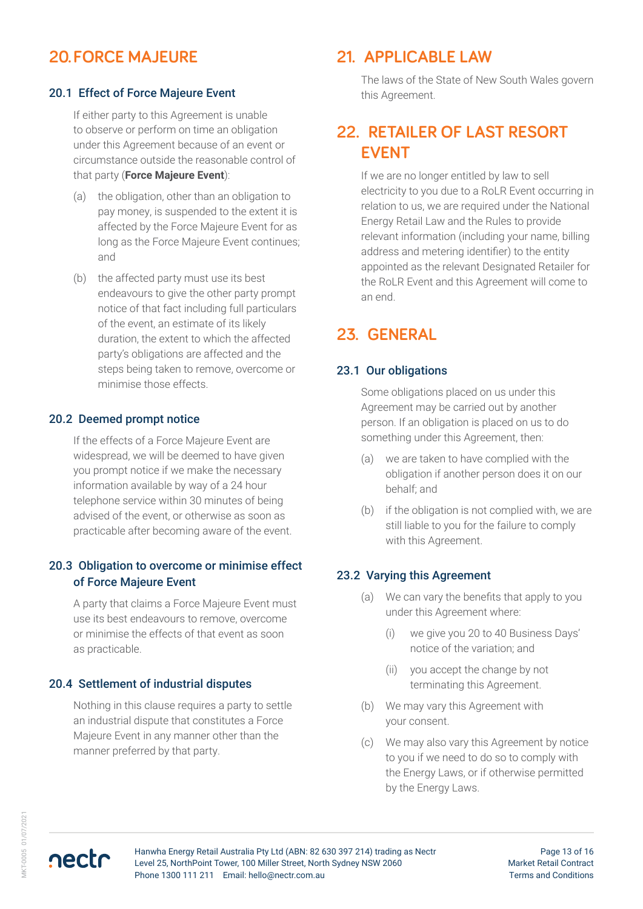# **20.FORCE MAJEURE**

#### 20.1 Effect of Force Majeure Event

If either party to this Agreement is unable to observe or perform on time an obligation under this Agreement because of an event or circumstance outside the reasonable control of that party (**Force Majeure Event**):

- (a) the obligation, other than an obligation to pay money, is suspended to the extent it is affected by the Force Majeure Event for as long as the Force Majeure Event continues; and
- (b) the affected party must use its best endeavours to give the other party prompt notice of that fact including full particulars of the event, an estimate of its likely duration, the extent to which the affected party's obligations are affected and the steps being taken to remove, overcome or minimise those effects.

#### 20.2 Deemed prompt notice

If the effects of a Force Majeure Event are widespread, we will be deemed to have given you prompt notice if we make the necessary information available by way of a 24 hour telephone service within 30 minutes of being advised of the event, or otherwise as soon as practicable after becoming aware of the event.

#### 20.3 Obligation to overcome or minimise effect of Force Majeure Event

A party that claims a Force Majeure Event must use its best endeavours to remove, overcome or minimise the effects of that event as soon as practicable.

#### 20.4 Settlement of industrial disputes

Nothing in this clause requires a party to settle an industrial dispute that constitutes a Force Majeure Event in any manner other than the manner preferred by that party.

### **21. APPLICABLE LAW**

The laws of the State of New South Wales govern this Agreement.

### **22. RETAILER OF LAST RESORT EVENT**

If we are no longer entitled by law to sell electricity to you due to a RoLR Event occurring in relation to us, we are required under the National Energy Retail Law and the Rules to provide relevant information (including your name, billing address and metering identifier) to the entity appointed as the relevant Designated Retailer for the RoLR Event and this Agreement will come to an end.

### **23. GENERAL**

#### 23.1 Our obligations

Some obligations placed on us under this Agreement may be carried out by another person. If an obligation is placed on us to do something under this Agreement, then:

- (a) we are taken to have complied with the obligation if another person does it on our behalf; and
- (b) if the obligation is not complied with, we are still liable to you for the failure to comply with this Agreement.

#### 23.2 Varying this Agreement

- (a) We can vary the benefits that apply to you under this Agreement where:
	- (i) we give you 20 to 40 Business Days' notice of the variation; and
	- (ii) you accept the change by not terminating this Agreement.
- (b) We may vary this Agreement with your consent.
- (c) We may also vary this Agreement by notice to you if we need to do so to comply with the Energy Laws, or if otherwise permitted by the Energy Laws.

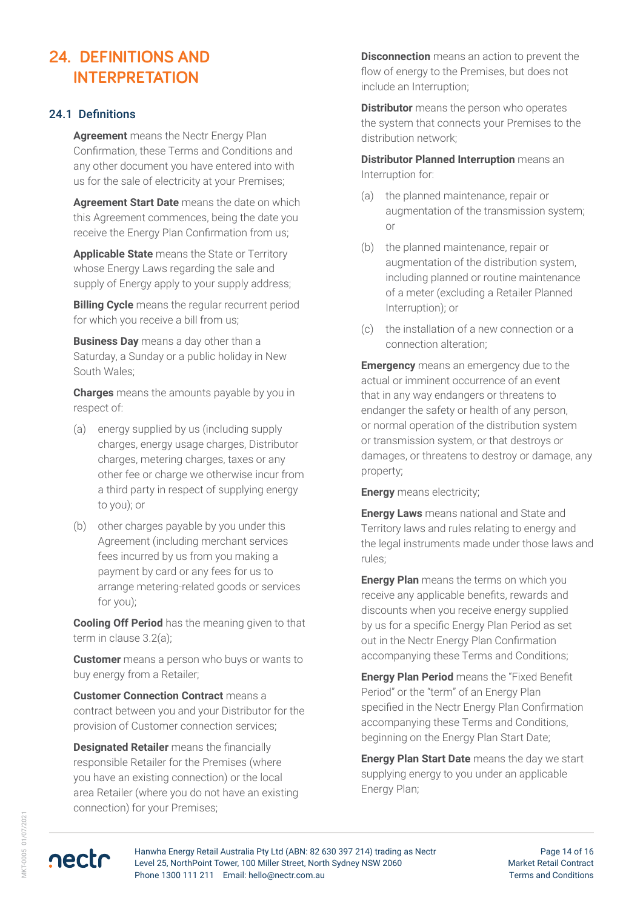# **24. DEFINITIONS AND INTERPRETATION**

#### 24.1 Definitions

**Agreement** means the Nectr Energy Plan Confirmation, these Terms and Conditions and any other document you have entered into with us for the sale of electricity at your Premises;

**Agreement Start Date** means the date on which this Agreement commences, being the date you receive the Energy Plan Confirmation from us;

**Applicable State** means the State or Territory whose Energy Laws regarding the sale and supply of Energy apply to your supply address;

**Billing Cycle** means the regular recurrent period for which you receive a bill from us;

**Business Day** means a day other than a Saturday, a Sunday or a public holiday in New South Wales;

**Charges** means the amounts payable by you in respect of:

- (a) energy supplied by us (including supply charges, energy usage charges, Distributor charges, metering charges, taxes or any other fee or charge we otherwise incur from a third party in respect of supplying energy to you); or
- (b) other charges payable by you under this Agreement (including merchant services fees incurred by us from you making a payment by card or any fees for us to arrange metering-related goods or services for you);

**Cooling Off Period** has the meaning given to that term in clause 3.2(a);

**Customer** means a person who buys or wants to buy energy from a Retailer;

**Customer Connection Contract** means a contract between you and your Distributor for the provision of Customer connection services;

**Designated Retailer** means the financially responsible Retailer for the Premises (where you have an existing connection) or the local area Retailer (where you do not have an existing connection) for your Premises;

**Disconnection** means an action to prevent the flow of energy to the Premises, but does not include an Interruption;

**Distributor** means the person who operates the system that connects your Premises to the distribution network;

**Distributor Planned Interruption** means an Interruption for:

- (a) the planned maintenance, repair or augmentation of the transmission system; or
- (b) the planned maintenance, repair or augmentation of the distribution system, including planned or routine maintenance of a meter (excluding a Retailer Planned Interruption); or
- (c) the installation of a new connection or a connection alteration;

**Emergency** means an emergency due to the actual or imminent occurrence of an event that in any way endangers or threatens to endanger the safety or health of any person, or normal operation of the distribution system or transmission system, or that destroys or damages, or threatens to destroy or damage, any property;

**Energy** means electricity;

**Energy Laws** means national and State and Territory laws and rules relating to energy and the legal instruments made under those laws and rules;

**Energy Plan** means the terms on which you receive any applicable benefits, rewards and discounts when you receive energy supplied by us for a specific Energy Plan Period as set out in the Nectr Energy Plan Confirmation accompanying these Terms and Conditions;

**Energy Plan Period** means the "Fixed Benefit Period" or the "term" of an Energy Plan specified in the Nectr Energy Plan Confirmation accompanying these Terms and Conditions, beginning on the Energy Plan Start Date;

**Energy Plan Start Date** means the day we start supplying energy to you under an applicable Energy Plan;

nectr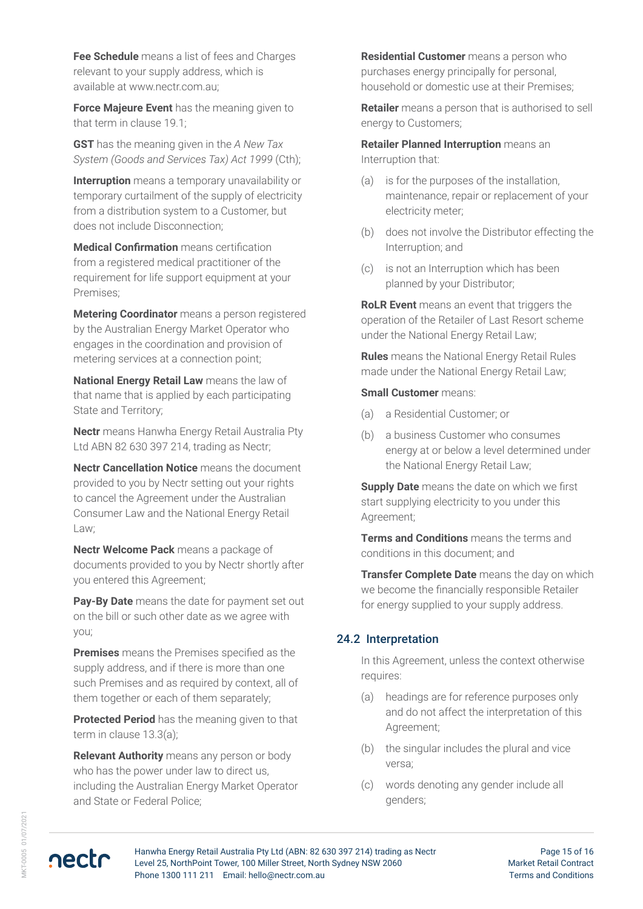**Fee Schedule** means a list of fees and Charges relevant to your supply address, which is available at www.nectr.com.au;

**Force Majeure Event** has the meaning given to that term in clause 19.1;

**GST** has the meaning given in the *A New Tax System (Goods and Services Tax) Act 1999* (Cth);

**Interruption** means a temporary unavailability or temporary curtailment of the supply of electricity from a distribution system to a Customer, but does not include Disconnection;

**Medical Confirmation** means certification from a registered medical practitioner of the requirement for life support equipment at your Premises;

**Metering Coordinator** means a person registered by the Australian Energy Market Operator who engages in the coordination and provision of metering services at a connection point;

**National Energy Retail Law** means the law of that name that is applied by each participating State and Territory;

**Nectr** means Hanwha Energy Retail Australia Pty Ltd ABN 82 630 397 214, trading as Nectr;

**Nectr Cancellation Notice** means the document provided to you by Nectr setting out your rights to cancel the Agreement under the Australian Consumer Law and the National Energy Retail Law;

**Nectr Welcome Pack** means a package of documents provided to you by Nectr shortly after you entered this Agreement;

**Pay-By Date** means the date for payment set out on the bill or such other date as we agree with you;

**Premises** means the Premises specified as the supply address, and if there is more than one such Premises and as required by context, all of them together or each of them separately;

**Protected Period** has the meaning given to that term in clause 13.3(a);

**Relevant Authority** means any person or body who has the power under law to direct us, including the Australian Energy Market Operator and State or Federal Police;

**Residential Customer** means a person who purchases energy principally for personal, household or domestic use at their Premises;

**Retailer** means a person that is authorised to sell energy to Customers;

**Retailer Planned Interruption** means an Interruption that:

- (a) is for the purposes of the installation, maintenance, repair or replacement of your electricity meter;
- (b) does not involve the Distributor effecting the Interruption; and
- (c) is not an Interruption which has been planned by your Distributor;

**RoLR Event** means an event that triggers the operation of the Retailer of Last Resort scheme under the National Energy Retail Law;

**Rules** means the National Energy Retail Rules made under the National Energy Retail Law;

#### **Small Customer** means:

- (a) a Residential Customer; or
- (b) a business Customer who consumes energy at or below a level determined under the National Energy Retail Law;

**Supply Date** means the date on which we first start supplying electricity to you under this Agreement;

**Terms and Conditions** means the terms and conditions in this document; and

**Transfer Complete Date** means the day on which we become the financially responsible Retailer for energy supplied to your supply address.

#### 24.2 Interpretation

In this Agreement, unless the context otherwise requires:

- (a) headings are for reference purposes only and do not affect the interpretation of this Agreement;
- (b) the singular includes the plural and vice versa;
- (c) words denoting any gender include all genders;

nectr